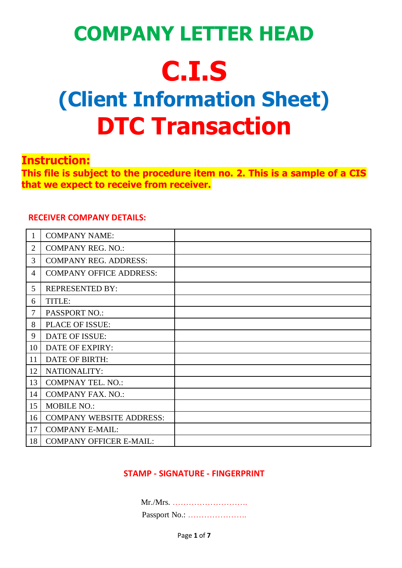# **COMPANY LETTER HEAD C.I.S (Client Information Sheet) DTC Transaction**

### **Instruction:**

**This file is subject to the procedure item no. 2. This is a sample of a CIS that we expect to receive from receiver.**

#### **RECEIVER COMPANY DETAILS:**

|                | <b>COMPANY NAME:</b>            |  |
|----------------|---------------------------------|--|
| $\overline{2}$ | <b>COMPANY REG. NO.:</b>        |  |
| 3              | <b>COMPANY REG. ADDRESS:</b>    |  |
| $\overline{4}$ | <b>COMPANY OFFICE ADDRESS:</b>  |  |
| 5              | <b>REPRESENTED BY:</b>          |  |
| 6              | TITLE:                          |  |
| 7              | <b>PASSPORT NO.:</b>            |  |
| 8              | PLACE OF ISSUE:                 |  |
| 9              | DATE OF ISSUE:                  |  |
| 10             | DATE OF EXPIRY:                 |  |
| 11             | <b>DATE OF BIRTH:</b>           |  |
| 12             | NATIONALITY:                    |  |
| 13             | <b>COMPNAY TEL. NO.:</b>        |  |
| 14             | <b>COMPANY FAX. NO.:</b>        |  |
| 15             | <b>MOBILE NO.:</b>              |  |
| 16             | <b>COMPANY WEBSITE ADDRESS:</b> |  |
| 17             | <b>COMPANY E-MAIL:</b>          |  |
| 18             | <b>COMPANY OFFICER E-MAIL:</b>  |  |

### **STAMP - SIGNATURE - FINGERPRINT**

Mr./Mrs. ………………………. Passport No.: ………………….

Page **1** of **7**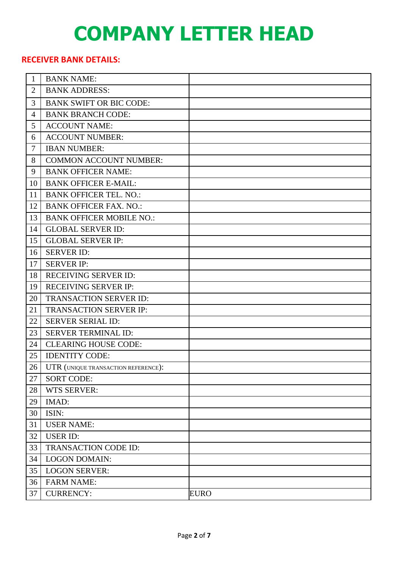### **RECEIVER BANK DETAILS:**

| $\mathbf{1}$   | <b>BANK NAME:</b>                   |             |
|----------------|-------------------------------------|-------------|
| $\overline{2}$ | <b>BANK ADDRESS:</b>                |             |
| 3              | <b>BANK SWIFT OR BIC CODE:</b>      |             |
| $\overline{4}$ | <b>BANK BRANCH CODE:</b>            |             |
| 5              | <b>ACCOUNT NAME:</b>                |             |
| 6              | <b>ACCOUNT NUMBER:</b>              |             |
| 7              | <b>IBAN NUMBER:</b>                 |             |
| 8              | <b>COMMON ACCOUNT NUMBER:</b>       |             |
| 9              | <b>BANK OFFICER NAME:</b>           |             |
| 10             | <b>BANK OFFICER E-MAIL:</b>         |             |
| 11             | <b>BANK OFFICER TEL. NO.:</b>       |             |
| 12             | <b>BANK OFFICER FAX. NO.:</b>       |             |
| 13             | <b>BANK OFFICER MOBILE NO.:</b>     |             |
| 14             | <b>GLOBAL SERVER ID:</b>            |             |
| 15             | <b>GLOBAL SERVER IP:</b>            |             |
| 16             | <b>SERVER ID:</b>                   |             |
| 17             | <b>SERVER IP:</b>                   |             |
| 18             | <b>RECEIVING SERVER ID:</b>         |             |
| 19             | <b>RECEIVING SERVER IP:</b>         |             |
| 20             | <b>TRANSACTION SERVER ID:</b>       |             |
| 21             | <b>TRANSACTION SERVER IP:</b>       |             |
| 22             | <b>SERVER SERIAL ID:</b>            |             |
| 23             | SERVER TERMINAL ID:                 |             |
| 24             | <b>CLEARING HOUSE CODE:</b>         |             |
| 25             | <b>IDENTITY CODE:</b>               |             |
| 26             | UTR (UNIQUE TRANSACTION REFERENCE): |             |
| 27             | <b>SORT CODE:</b>                   |             |
| 28             | <b>WTS SERVER:</b>                  |             |
| 29             | IMAD:                               |             |
| 30             | ISIN:                               |             |
| 31             | <b>USER NAME:</b>                   |             |
| 32             | <b>USER ID:</b>                     |             |
| 33             | TRANSACTION CODE ID:                |             |
| 34             | <b>LOGON DOMAIN:</b>                |             |
| 35             | <b>LOGON SERVER:</b>                |             |
| 36             | <b>FARM NAME:</b>                   |             |
| 37             | <b>CURRENCY:</b>                    | <b>EURO</b> |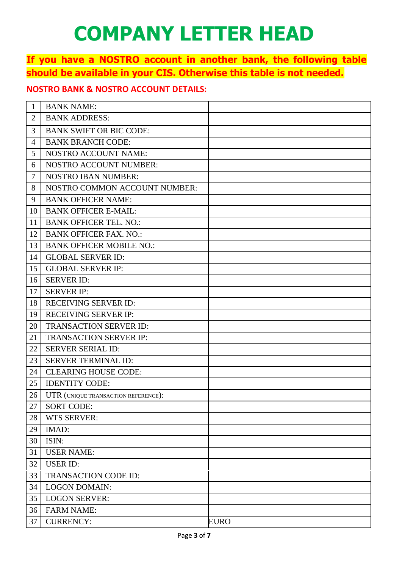### **If you have a NOSTRO account in another bank, the following table should be available in your CIS. Otherwise this table is not needed.**

### **NOSTRO BANK & NOSTRO ACCOUNT DETAILS:**

| $\mathbf{1}$   | <b>BANK NAME:</b>                   |             |
|----------------|-------------------------------------|-------------|
| $\overline{2}$ | <b>BANK ADDRESS:</b>                |             |
| 3              | <b>BANK SWIFT OR BIC CODE:</b>      |             |
| 4              | <b>BANK BRANCH CODE:</b>            |             |
| 5              | <b>NOSTRO ACCOUNT NAME:</b>         |             |
| 6              | <b>NOSTRO ACCOUNT NUMBER:</b>       |             |
| 7              | <b>NOSTRO IBAN NUMBER:</b>          |             |
| 8              | NOSTRO COMMON ACCOUNT NUMBER:       |             |
| 9              | <b>BANK OFFICER NAME:</b>           |             |
| 10             | <b>BANK OFFICER E-MAIL:</b>         |             |
| 11             | <b>BANK OFFICER TEL. NO.:</b>       |             |
| 12             | <b>BANK OFFICER FAX. NO.:</b>       |             |
| 13             | <b>BANK OFFICER MOBILE NO.:</b>     |             |
| 14             | <b>GLOBAL SERVER ID:</b>            |             |
| 15             | <b>GLOBAL SERVER IP:</b>            |             |
| 16             | <b>SERVER ID:</b>                   |             |
| 17             | <b>SERVER IP:</b>                   |             |
| 18             | <b>RECEIVING SERVER ID:</b>         |             |
| 19             | <b>RECEIVING SERVER IP:</b>         |             |
| 20             | <b>TRANSACTION SERVER ID:</b>       |             |
| 21             | <b>TRANSACTION SERVER IP:</b>       |             |
| 22             | <b>SERVER SERIAL ID:</b>            |             |
| 23             | <b>SERVER TERMINAL ID:</b>          |             |
| 24             | <b>CLEARING HOUSE CODE:</b>         |             |
| 25             | <b>IDENTITY CODE:</b>               |             |
| 26             | UTR (UNIQUE TRANSACTION REFERENCE): |             |
| 27             | <b>SORT CODE:</b>                   |             |
| 28             | <b>WTS SERVER:</b>                  |             |
| 29             | IMAD:                               |             |
| 30             | ISIN:                               |             |
| 31             | <b>USER NAME:</b>                   |             |
| 32             | <b>USER ID:</b>                     |             |
| 33             | TRANSACTION CODE ID:                |             |
| 34             | <b>LOGON DOMAIN:</b>                |             |
| 35             | <b>LOGON SERVER:</b>                |             |
| 36             | <b>FARM NAME:</b>                   |             |
| 37             | <b>CURRENCY:</b>                    | <b>EURO</b> |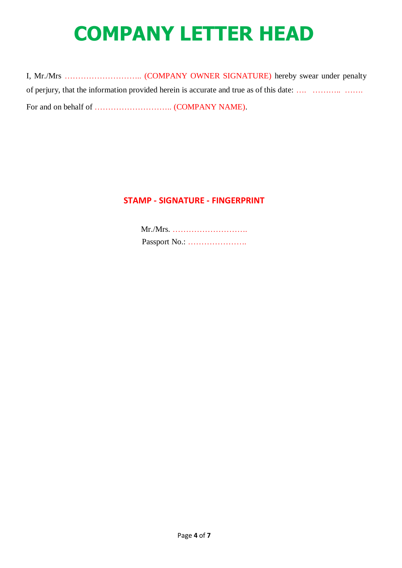I, Mr./Mrs ……………………….. (COMPANY OWNER SIGNATURE) hereby swear under penalty of perjury, that the information provided herein is accurate and true as of this date: …. ……….. ……. For and on behalf of ……………………….. (COMPANY NAME).

#### **STAMP - SIGNATURE - FINGERPRINT**

Mr./Mrs. ………………………. Passport No.: ………………….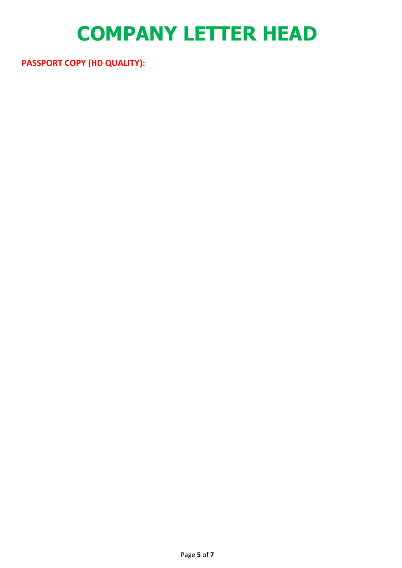**PASSPORT COPY (HD QUALITY):**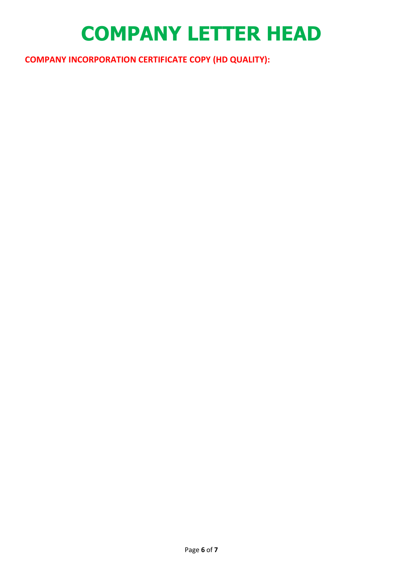**COMPANY INCORPORATION CERTIFICATE COPY (HD QUALITY):**